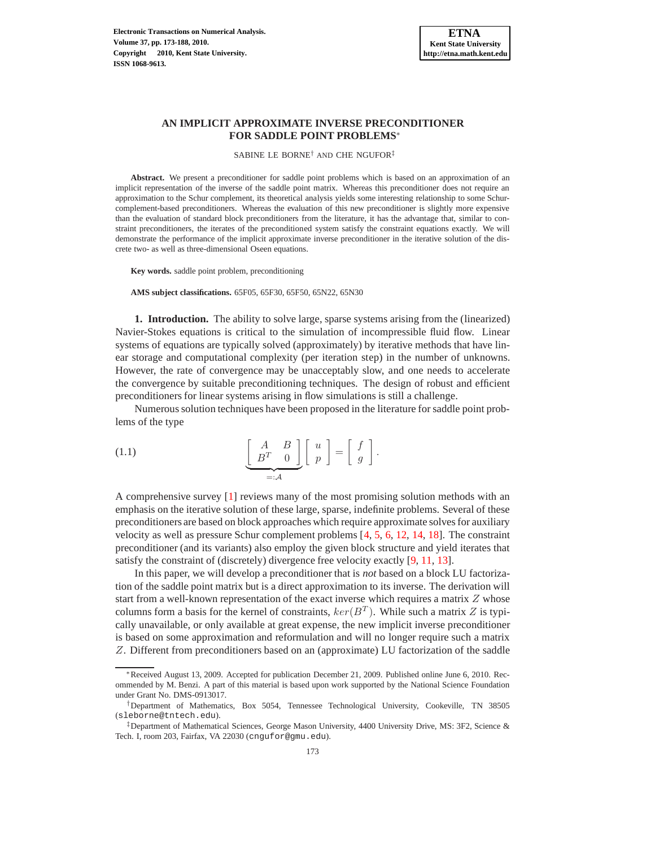# **AN IMPLICIT APPROXIMATE INVERSE PRECONDITIONER FOR SADDLE POINT PROBLEMS**<sup>∗</sup>

SABINE LE BORNE† AND CHE NGUFOR‡

Abstract. We present a preconditioner for saddle point problems which is based on an approximation of an implicit representation of the inverse of the saddle point matrix. Whereas this preconditioner does not require an approximation to the Schur complement, its theoretical analysis yields some interesting relationship to some Schurcomplement-based preconditioners. Whereas the evaluation of this new preconditioner is slightly more expensive than the evaluation of standard block preconditioners from the literature, it has the advantage that, similar to constraint preconditioners, the iterates of the preconditioned system satisfy the constraint equations exactly. We will demonstrate the performance of the implicit approximate inverse preconditioner in the iterative solution of the discrete two- as well as three-dimensional Oseen equations.

**Key words.** saddle point problem, preconditioning

**AMS subject classifications.** 65F05, 65F30, 65F50, 65N22, 65N30

**1. Introduction.** The ability to solve large, sparse systems arising from the (linearized) Navier-Stokes equations is critical to the simulation of incompressible fluid flow. Linear systems of equations are typically solved (approximately) by iterative methods that have linear storage and computational complexity (per iteration step) in the number of unknowns. However, the rate of convergence may be unacceptably slow, and one needs to accelerate the convergence by suitable preconditioning techniques. The design of robust and efficient preconditioners for linear systems arising in flow simulations is still a challenge.

<span id="page-0-0"></span>Numerous solution techniques have been proposed in the literature for saddle point problems of the type

(1.1) 
$$
\underbrace{\left[\begin{array}{cc} A & B \\ B^T & 0 \end{array}\right]}_{=: \mathcal{A}} \left[\begin{array}{c} u \\ p \end{array}\right] = \left[\begin{array}{c} f \\ g \end{array}\right].
$$

A comprehensive survey [\[1\]](#page-13-0) reviews many of the most promising solution methods with an emphasis on the iterative solution of these large, sparse, indefinite problems. Several of these preconditioners are based on block approaches which require approximate solves for auxiliary velocity as well as pressure Schur complement problems [\[4,](#page-13-1) [5,](#page-14-0) [6,](#page-14-1) [12,](#page-14-2) [14,](#page-14-3) [18\]](#page-15-0). The constraint preconditioner (and its variants) also employ the given block structure and yield iterates that satisfy the constraint of (discretely) divergence free velocity exactly [\[9,](#page-14-4) [11,](#page-14-5) [13\]](#page-14-6).

In this paper, we will develop a preconditioner that is *not* based on a block LU factorization of the saddle point matrix but is a direct approximation to its inverse. The derivation will start from a well-known representation of the exact inverse which requires a matrix  $Z$  whose columns form a basis for the kernel of constraints,  $ker(B<sup>T</sup>)$ . While such a matrix Z is typically unavailable, or only available at great expense, the new implicit inverse preconditioner is based on some approximation and reformulation and will no longer require such a matrix Z. Different from preconditioners based on an (approximate) LU factorization of the saddle

<sup>∗</sup>Received August 13, 2009. Accepted for publication December 21, 2009. Published online June 6, 2010. Recommended by M. Benzi. A part of this material is based upon work supported by the National Science Foundation under Grant No. DMS-0913017.

<sup>†</sup>Department of Mathematics, Box 5054, Tennessee Technological University, Cookeville, TN 38505 (sleborne@tntech.edu).

<sup>‡</sup>Department of Mathematical Sciences, George Mason University, 4400 University Drive, MS: 3F2, Science & Tech. I, room 203, Fairfax, VA 22030 (cngufor@gmu.edu).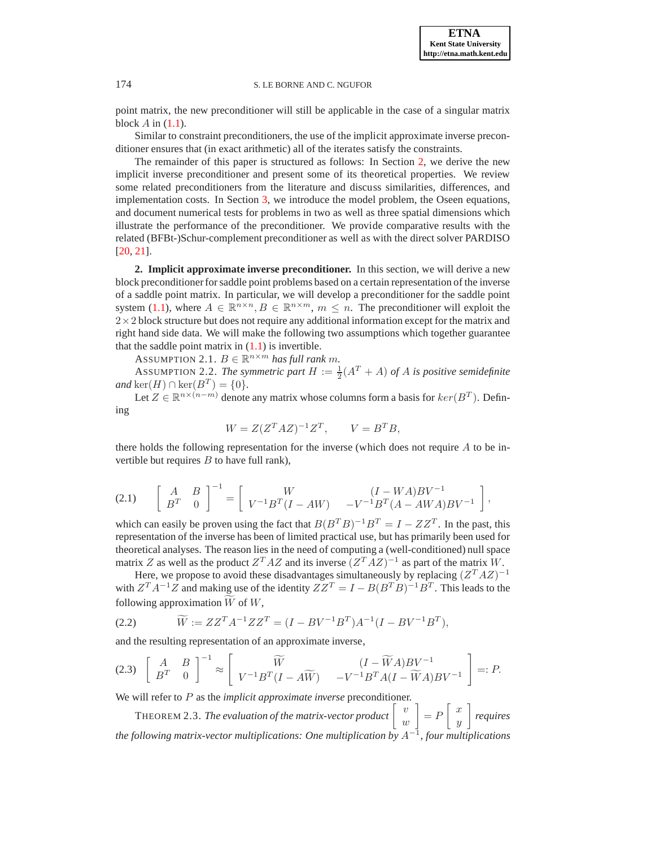,

## 174 S. LE BORNE AND C. NGUFOR

point matrix, the new preconditioner will still be applicable in the case of a singular matrix block  $A$  in  $(1.1)$ .

Similar to constraint preconditioners, the use of the implicit approximate inverse preconditioner ensures that (in exact arithmetic) all of the iterates satisfy the constraints.

The remainder of this paper is structured as follows: In Section [2,](#page-1-0) we derive the new implicit inverse preconditioner and present some of its theoretical properties. We review some related preconditioners from the literature and discuss similarities, differences, and implementation costs. In Section [3,](#page-8-0) we introduce the model problem, the Oseen equations, and document numerical tests for problems in two as well as three spatial dimensions which illustrate the performance of the preconditioner. We provide comparative results with the related (BFBt-)Schur-complement preconditioner as well as with the direct solver PARDISO [\[20,](#page-15-1) [21\]](#page-15-2).

<span id="page-1-0"></span>**2. Implicit approximate inverse preconditioner.** In this section, we will derive a new block preconditioner for saddle point problems based on a certain representation of the inverse of a saddle point matrix. In particular, we will develop a preconditioner for the saddle point system [\(1.1\)](#page-0-0), where  $A \in \mathbb{R}^{n \times n}$ ,  $B \in \mathbb{R}^{n \times m}$ ,  $m \leq n$ . The preconditioner will exploit the  $2\times2$  block structure but does not require any additional information except for the matrix and right hand side data. We will make the following two assumptions which together guarantee that the saddle point matrix in  $(1.1)$  is invertible.

ASSUMPTION 2.1.  $B \in \mathbb{R}^{n \times m}$  has full rank m.

ASSUMPTION 2.2. The symmetric part  $H := \frac{1}{2}(A^T + A)$  of A is positive semidefinite  $and \text{ ker}(H) \cap \text{ker}(B^T) = \{0\}.$ 

Let  $Z \in \mathbb{R}^{n \times (n-m)}$  denote any matrix whose columns form a basis for  $ker(B^T)$ . Defining

$$
W = Z(Z^T A Z)^{-1} Z^T, \qquad V = B^T B,
$$

there holds the following representation for the inverse (which does not require  $A$  to be invertible but requires  $B$  to have full rank),

$$
(2.1) \qquad \begin{bmatrix} A & B \\ B^T & 0 \end{bmatrix}^{-1} = \begin{bmatrix} W & (I - WA)BV^{-1} \\ V^{-1}B^T(I - AW) & -V^{-1}B^T(A - AWA)BV^{-1} \end{bmatrix}
$$

which can easily be proven using the fact that  $B(B^TB)^{-1}B^T = I - ZZ^T$ . In the past, this representation of the inverse has been of limited practical use, but has primarily been used for theoretical analyses. The reason lies in the need of computing a (well-conditioned) null space matrix Z as well as the product  $Z^T A Z$  and its inverse  $(Z^T A Z)^{-1}$  as part of the matrix W.

Here, we propose to avoid these disadvantages simultaneously by replacing  $(Z^T A Z)^{-1}$ with  $Z^T A^{-1} Z$  and making use of the identity  $Z Z^T = I - B(B^T B)^{-1} B^T$ . This leads to the following approximation  $\overline{W}$  of  $W$ ,

<span id="page-1-1"></span>(2.2) 
$$
\widetilde{W} := ZZ^T A^{-1} Z Z^T = (I - B V^{-1} B^T) A^{-1} (I - B V^{-1} B^T),
$$

<span id="page-1-2"></span>and the resulting representation of an approximate inverse,

$$
(2.3)\left[\begin{array}{cc}A & B \\ B^T & 0\end{array}\right]^{-1} \approx \left[\begin{array}{cc}\widetilde{W} & (I - \widetilde{W}A)BV^{-1} \\ V^{-1}B^T(I - A\widetilde{W}) & -V^{-1}B^T A(I - \widetilde{W}A)BV^{-1}\end{array}\right] =: P.
$$

We will refer to P as the *implicit approximate inverse* preconditioner.

THEOREM 2.3. *The evaluation of the matrix-vector product*  $\begin{bmatrix} v \\ w \end{bmatrix}$ w 1  $=$   $\overline{P}$  $\lceil x \rceil$  $\hat{y}$ 1 *requires the following matrix-vector multiplications: One multiplication by* A−<sup>1</sup> *, four multiplications*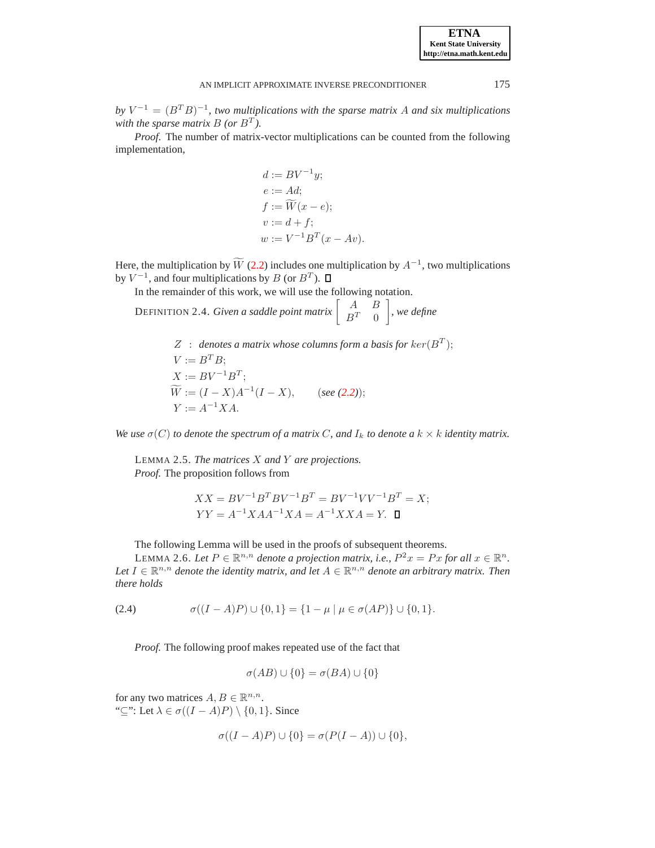$by V^{-1} = (B^T B)^{-1}$ , two multiplications with the sparse matrix A and six multiplications with the sparse matrix  $B$  (or  $B<sup>T</sup>$ ).

*Proof*. The number of matrix-vector multiplications can be counted from the following implementation,

<span id="page-2-0"></span>
$$
d := BV^{-1}y;
$$
  
\n
$$
e := Ad;
$$
  
\n
$$
f := \widetilde{W}(x - e);
$$
  
\n
$$
v := d + f;
$$
  
\n
$$
w := V^{-1}B^{T}(x - Av).
$$

Here, the multiplication by  $\widetilde{W}$  [\(2.2\)](#page-1-1) includes one multiplication by  $A^{-1}$ , two multiplications by  $V^{-1}$ , and four multiplications by B (or  $B^T$ ).

In the remainder of this work, we will use the following notation.

DEFINITION 2.4. *Given a saddle point matrix*  $\begin{bmatrix} A & B \\ D^T & 0 \end{bmatrix}$  $B^T \quad 0$ 1 *, we define*

> $Z$  : denotes a matrix whose columns form a basis for  $ker(B^T);$  $V := B^T B;$  $X := BV^{-1}B^{T};$  $\widetilde{W} := (I - X)A^{-1}(I - X), \quad (see (2.2));$  $\widetilde{W} := (I - X)A^{-1}(I - X), \quad (see (2.2));$  $\widetilde{W} := (I - X)A^{-1}(I - X), \quad (see (2.2));$  $Y := A^{-1} X A.$

*We use*  $\sigma(C)$  *to denote the spectrum of a matrix C*, and  $I_k$  *to denote a*  $k \times k$  *identity matrix.* 

LEMMA 2.5. *The matrices* X *and* Y *are projections. Proof.* The proposition follows from

$$
XX = BV^{-1}B^TBV^{-1}B^T = BV^{-1}VV^{-1}B^T = X;
$$
  
\n
$$
YY = A^{-1}XAA^{-1}XA = A^{-1}XXA = Y.
$$

The following Lemma will be used in the proofs of subsequent theorems.

<span id="page-2-1"></span>LEMMA 2.6. Let  $P \in \mathbb{R}^{n,n}$  denote a projection matrix, i.e.,  $P^2x = Px$  for all  $x \in \mathbb{R}^n$ . Let  $I \in \mathbb{R}^{n,n}$  denote the identity matrix, and let  $A \in \mathbb{R}^{n,n}$  denote an arbitrary matrix. Then *there holds*

(2.4) 
$$
\sigma((I-A)P) \cup \{0,1\} = \{1-\mu \mid \mu \in \sigma(AP)\} \cup \{0,1\}.
$$

*Proof.* The following proof makes repeated use of the fact that

$$
\sigma(AB) \cup \{0\} = \sigma(BA) \cup \{0\}
$$

for any two matrices  $A, B \in \mathbb{R}^{n,n}$ . "⊆": Let  $\lambda \in \sigma((I - A)P) \setminus \{0, 1\}$ . Since

$$
\sigma((I-A)P) \cup \{0\} = \sigma(P(I-A)) \cup \{0\},\
$$

**ETNA Kent State University http://etna.math.kent.edu**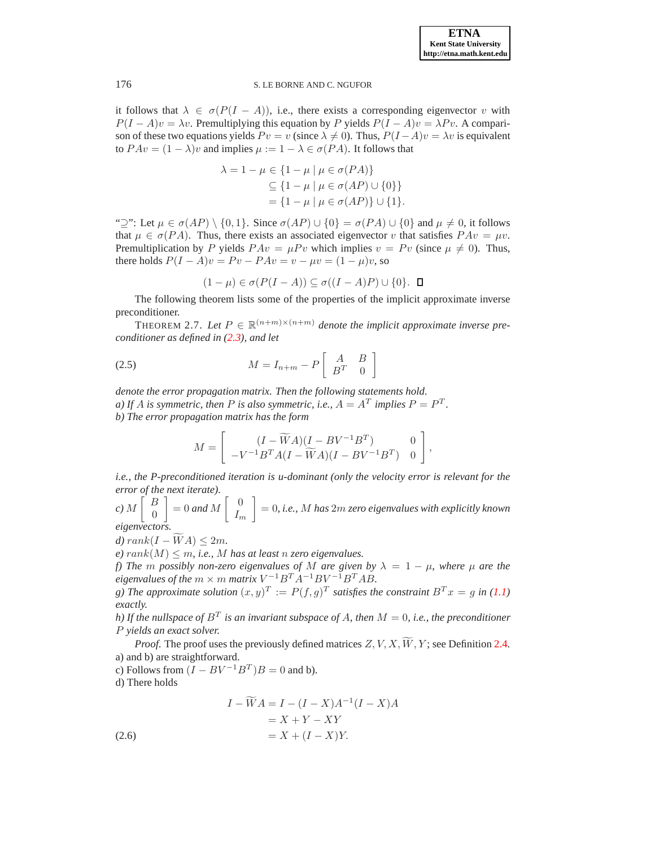it follows that  $\lambda \in \sigma(P(I - A))$ , i.e., there exists a corresponding eigenvector v with  $P(I - A)v = \lambda v$ . Premultiplying this equation by P yields  $P(I - A)v = \lambda Pv$ . A comparison of these two equations yields  $P v = v$  (since  $\lambda \neq 0$ ). Thus,  $P(I - A)v = \lambda v$  is equivalent to  $PAv = (1 - \lambda)v$  and implies  $\mu := 1 - \lambda \in \sigma(PA)$ . It follows that

$$
\lambda = 1 - \mu \in \{1 - \mu \mid \mu \in \sigma(PA)\}
$$
  
\n
$$
\subseteq \{1 - \mu \mid \mu \in \sigma(AP) \cup \{0\}\}
$$
  
\n
$$
= \{1 - \mu \mid \mu \in \sigma(AP)\} \cup \{1\}.
$$

" $\supseteq$ ": Let  $\mu \in \sigma(AP) \setminus \{0, 1\}$ . Since  $\sigma(AP) \cup \{0\} = \sigma(PA) \cup \{0\}$  and  $\mu \neq 0$ , it follows that  $\mu \in \sigma(PA)$ . Thus, there exists an associated eigenvector v that satisfies  $PAv = \mu v$ . Premultiplication by P yields  $PAv = \mu Pv$  which implies  $v = Pv$  (since  $\mu \neq 0$ ). Thus, there holds  $P(I - A)v = Pv - PAv = v - \mu v = (1 - \mu)v$ , so

<span id="page-3-1"></span>
$$
(1 - \mu) \in \sigma(P(I - A)) \subseteq \sigma((I - A)P) \cup \{0\}.
$$

<span id="page-3-2"></span>The following theorem lists some of the properties of the implicit approximate inverse preconditioner.

THEOREM 2.7. Let  $P \in \mathbb{R}^{(n+m)\times(n+m)}$  denote the implicit approximate inverse pre*conditioner as defined in [\(2.3\)](#page-1-2), and let*

$$
(2.5) \t\t M = I_{n+m} - P \begin{bmatrix} A & B \\ B^T & 0 \end{bmatrix}
$$

*denote the error propagation matrix. Then the following statements hold. a)* If A is symmetric, then P is also symmetric, i.e.,  $A = A<sup>T</sup>$  implies  $P = P<sup>T</sup>$ . *b) The error propagation matrix has the form*

$$
M = \left[ \begin{array}{cc} (I - \widetilde{W}A)(I - BV^{-1}B^T) & 0 \\ -V^{-1}B^TA(I - \widetilde{W}A)(I - BV^{-1}B^T) & 0 \end{array} \right],
$$

*i.e., the P-preconditioned iteration is u-dominant (only the velocity error is relevant for the error of the next iterate).*

*c)* M  $\int B$ 0 1 = 0 *and* M  $\begin{bmatrix} 0 \\ 0 \end{bmatrix}$  $I_m$ 1 = 0*, i.e.,* M *has* 2m *zero eigenvalues with explicitly known eigenvectors.*

*d)*  $rank(I - WA) \leq 2m$ .

 $e)$  rank(M)  $\leq$  m, i.e., M has at least n zero eigenvalues.

*f)* The *m* possibly non-zero eigenvalues of M are given by  $\lambda = 1 - \mu$ , where  $\mu$  are the  $eigenvalues of the  $m \times m$  matrix  $V^{-1}B^{T}A^{-1}BV^{-1}B^{T}AB$ .$ 

*g*) The approximate solution  $(x, y)^T := P(f, g)^T$  satisfies the constraint  $B^T x = g$  in [\(1.1\)](#page-0-0) *exactly.*

*h)* If the nullspace of  $B^T$  is an invariant subspace of A, then  $M = 0$ , i.e., the preconditioner P *yields an exact solver.*

*Proof.* The proof uses the previously defined matrices  $Z, V, X, \widetilde{W}, Y$ ; see Definition [2.4.](#page-2-0) a) and b) are straightforward.

c) Follows from  $(I - BV^{-1}B^T)B = 0$  and b). d) There holds

<span id="page-3-0"></span>
$$
I - \widetilde{W}A = I - (I - X)A^{-1}(I - X)A
$$

$$
= X + Y - XY
$$

$$
= X + (I - X)Y.
$$
(2.6)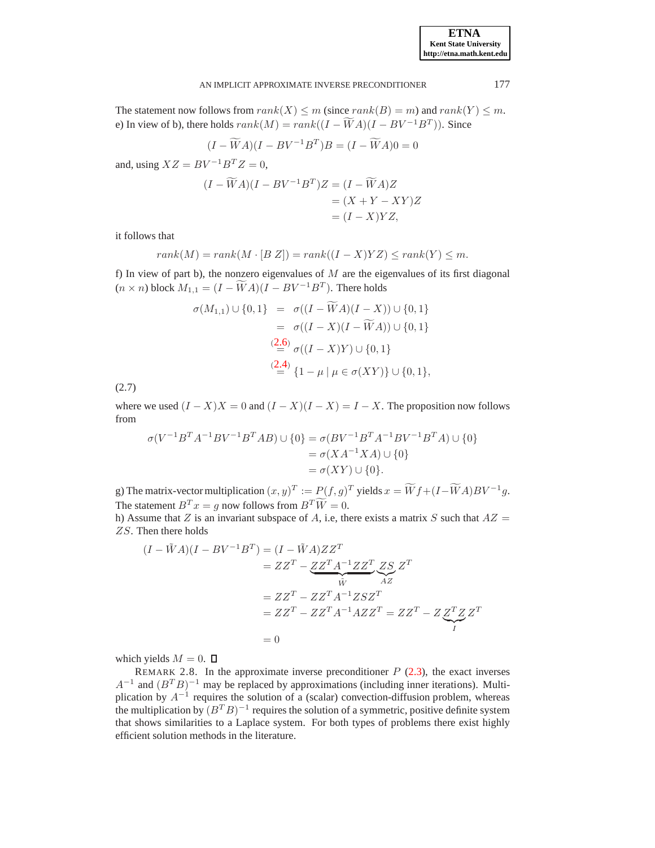## AN IMPLICIT APPROXIMATE INVERSE PRECONDITIONER 177

The statement now follows from  $rank(X) \le m$  (since  $rank(B) = m$ ) and  $rank(Y) \le m$ . e) In view of b), there holds  $rank(M) = rank((I - \widetilde{W}A)(I - BV^{-1}B^{T}))$ . Since

$$
(I - \widetilde{W}A)(I - BV^{-1}B^T)B = (I - \widetilde{W}A)0 = 0
$$

and, using  $XZ = BV^{-1}B^TZ = 0$ ,

$$
(I - \widetilde{W}A)(I - BV^{-1}B^T)Z = (I - \widetilde{W}A)Z
$$
  
=  $(X + Y - XY)Z$   
=  $(I - X)YZ$ ,

it follows that

$$
rank(M) = rank(M \cdot [B Z]) = rank((I - X)YZ) \le rank(Y) \le m.
$$

f) In view of part b), the nonzero eigenvalues of  $M$  are the eigenvalues of its first diagonal  $(n \times n)$  block  $M_{1,1} = (I - \widetilde{W}A)(I - BV^{-1}B^T)$ . There holds

$$
\sigma(M_{1,1}) \cup \{0,1\} = \sigma((I - WA)(I - X)) \cup \{0,1\}
$$
  
=  $\sigma((I - X)(I - \widetilde{W}A)) \cup \{0,1\}$   
 $\stackrel{(2.6)}{=} \sigma((I - X)Y) \cup \{0,1\}$   
 $\stackrel{(2.4)}{=} \{1 - \mu | \mu \in \sigma(XY)\} \cup \{0,1\},$ 

(2.7)

where we used  $(I - X)X = 0$  and  $(I - X)(I - X) = I - X$ . The proposition now follows from

$$
\sigma(V^{-1}B^T A^{-1} B V^{-1} B^T A B) \cup \{0\} = \sigma(BV^{-1}B^T A^{-1} B V^{-1} B^T A) \cup \{0\}
$$
  
=  $\sigma(XA^{-1}XA) \cup \{0\}$   
=  $\sigma(XY) \cup \{0\}.$ 

g) The matrix-vector multiplication  $(x, y)^T := P(f, g)^T$  yields  $x = \widetilde{W}f + (I - \widetilde{W}A)BV^{-1}g$ . The statement  $B^T x = g$  now follows from  $B^T \widetilde{W} = 0$ .

h) Assume that Z is an invariant subspace of A, i.e, there exists a matrix S such that  $AZ =$ ZS. Then there holds

$$
(I - \tilde{W}A)(I - BV^{-1}B^T) = (I - \tilde{W}A)ZZ^T
$$
  
= 
$$
ZZ^T - \underbrace{ZZ^T A^{-1}ZZ^T}_{\tilde{W}} \underbrace{ZS}_{AZ} Z^T
$$
  
= 
$$
ZZ^T - ZZ^T A^{-1}ZSZ^T
$$
  
= 
$$
ZZ^T - ZZ^T A^{-1}AZZ^T = ZZ^T - Z \underbrace{Z^T Z Z^T}_{I}
$$
  
= 0

which yields  $M = 0$ .  $\Box$ 

REMARK 2.8. In the approximate inverse preconditioner  $P$  [\(2.3\)](#page-1-2), the exact inverses  $A^{-1}$  and  $(B^T B)^{-1}$  may be replaced by approximations (including inner iterations). Multiplication by  $A^{-1}$  requires the solution of a (scalar) convection-diffusion problem, whereas the multiplication by  $(B^T B)^{-1}$  requires the solution of a symmetric, positive definite system that shows similarities to a Laplace system. For both types of problems there exist highly efficient solution methods in the literature.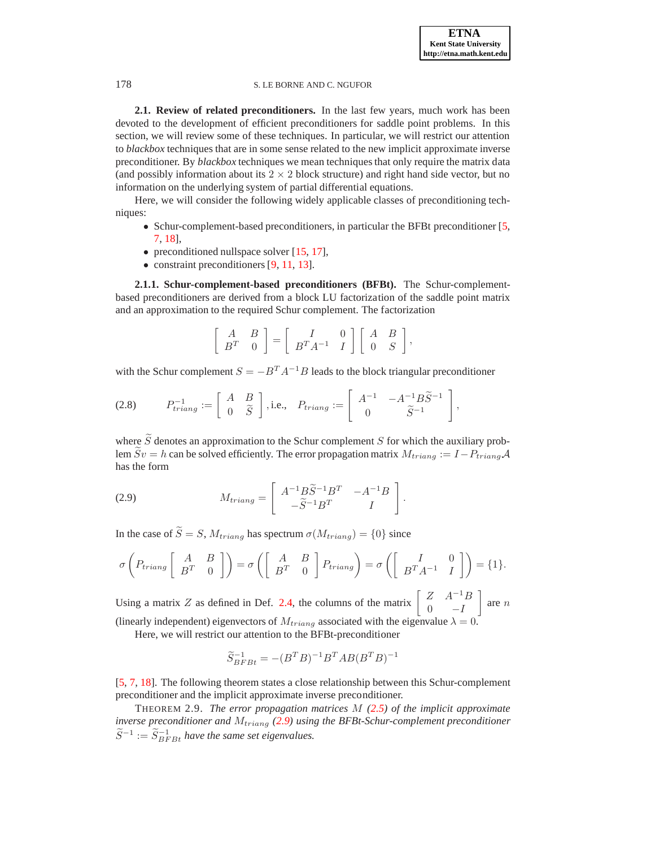**2.1. Review of related preconditioners.** In the last few years, much work has been devoted to the development of efficient preconditioners for saddle point problems. In this section, we will review some of these techniques. In particular, we will restrict our attention to *blackbox* techniques that are in some sense related to the new implicit approximate inverse preconditioner. By *blackbox* techniques we mean techniques that only require the matrix data (and possibly information about its  $2 \times 2$  block structure) and right hand side vector, but no information on the underlying system of partial differential equations.

Here, we will consider the following widely applicable classes of preconditioning techniques:

- Schur-complement-based preconditioners, in particular the BFBt preconditioner [\[5,](#page-14-0) [7,](#page-14-7) [18\]](#page-15-0),
- preconditioned nullspace solver [\[15,](#page-15-3) [17\]](#page-15-4),
- constraint preconditioners [\[9,](#page-14-4) [11,](#page-14-5) [13\]](#page-14-6).

**2.1.1. Schur-complement-based preconditioners (BFBt).** The Schur-complementbased preconditioners are derived from a block LU factorization of the saddle point matrix and an approximation to the required Schur complement. The factorization

$$
\left[\begin{array}{cc}A&B\\B^T&0\end{array}\right]=\left[\begin{array}{cc}I&0\\B^TA^{-1}&I\end{array}\right]\left[\begin{array}{cc}A&B\\0&S\end{array}\right],
$$

with the Schur complement  $S = -B^T A^{-1}B$  leads to the block triangular preconditioner

$$
(2.8) \tP_{triang}^{-1} := \left[ \begin{array}{cc} A & B \\ 0 & \widetilde{S} \end{array} \right], \text{i.e.,} \quad P_{triang} := \left[ \begin{array}{cc} A^{-1} & -A^{-1} B \widetilde{S}^{-1} \\ 0 & \widetilde{S}^{-1} \end{array} \right],
$$

where  $\widetilde{S}$  denotes an approximation to the Schur complement S for which the auxiliary problem  $\widetilde{S}v = h$  can be solved efficiently. The error propagation matrix  $M_{triang} := I - P_{triang}A$ has the form

<span id="page-5-0"></span>(2.9) 
$$
M_{triang} = \begin{bmatrix} A^{-1} B \widetilde{S}^{-1} B^T & -A^{-1} B \\ -\widetilde{S}^{-1} B^T & I \end{bmatrix}.
$$

In the case of  $\widetilde{S} = S$ ,  $M_{triang}$  has spectrum  $\sigma(M_{triang}) = \{0\}$  since

$$
\sigma\left(P_{triang}\left[\begin{array}{cc}A&B\\B^T&0\end{array}\right]\right)=\sigma\left(\left[\begin{array}{cc}A&B\\B^T&0\end{array}\right]P_{triang}\right)=\sigma\left(\left[\begin{array}{cc}I&0\\B^TA^{-1}&I\end{array}\right]\right)=\{1\}.
$$

Using a matrix Z as defined in Def. [2.4,](#page-2-0) the columns of the matrix  $\begin{bmatrix} Z & A^{-1}B \\ 0 & I \end{bmatrix}$  $0 \t -I$ 1 are n (linearly independent) eigenvectors of  $M_{triang}$  associated with the eigenvalue  $\lambda = 0$ .

Here, we will restrict our attention to the BFBt-preconditioner

$$
\widetilde{S}_{BFBt}^{-1}=-(B^TB)^{-1}B^TAB(B^TB)^{-1}
$$

[\[5,](#page-14-0) [7,](#page-14-7) [18\]](#page-15-0). The following theorem states a close relationship between this Schur-complement preconditioner and the implicit approximate inverse preconditioner.

THEOREM 2.9. *The error propagation matrices* M *[\(2.5\)](#page-3-1) of the implicit approximate inverse preconditioner and*  $M_{triang}$  [\(2.9\)](#page-5-0) using the BFBt-Schur-complement preconditioner  $\widetilde{S}^{-1} := \widetilde{S}_{BFBt}^{-1}$  have the same set eigenvalues.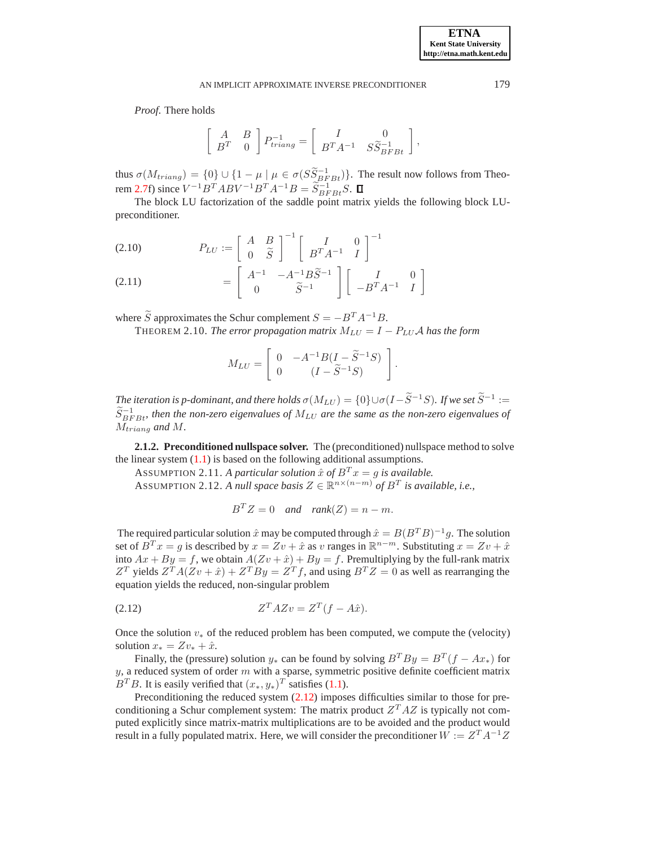*Proof*. There holds

$$
\left[\begin{array}{cc}A&B\\B^T&0\end{array}\right]P_{triang}^{-1}=\left[\begin{array}{cc}I&0\\B^TA^{-1}&S\widetilde{S}_{BFBt}^{-1}\end{array}\right],
$$

thus  $\sigma(M_{triang}) = \{0\} \cup \{1 - \mu \mid \mu \in \sigma(S\tilde{S}_{BFBt}^{-1})\}$ . The result now follows from Theo-rem [2.7f](#page-3-2)) since  $V^{-1}B^{T}ABV^{-1}B^{T}A^{-1}B = \widetilde{S}_{BFBt}^{-1}S$ .

The block LU factorization of the saddle point matrix yields the following block LUpreconditioner.

$$
(2.10) \t P_{LU} := \begin{bmatrix} A & B \\ 0 & \widetilde{S} \end{bmatrix}^{-1} \begin{bmatrix} I & 0 \\ B^T A^{-1} & I \end{bmatrix}^{-1}
$$

(2.11) 
$$
= \begin{bmatrix} A^{-1} & -A^{-1}B\widetilde{S}^{-1} \\ 0 & \widetilde{S}^{-1} \end{bmatrix} \begin{bmatrix} I & 0 \\ -B^{T}A^{-1} & I \end{bmatrix}
$$

where  $\widetilde{S}$  approximates the Schur complement  $S = -B^T A^{-1}B$ .

THEOREM 2.10. *The error propagation matrix*  $M_{LU} = I - P_{LU}A$  *has the form* 

$$
M_{LU} = \left[ \begin{array}{cc} 0 & -A^{-1}B(I - \widetilde{S}^{-1}S) \\ 0 & (I - \widetilde{S}^{-1}S) \end{array} \right]
$$

.

*The iteration is p-dominant, and there holds*  $\sigma(M_{LU}) = \{0\} \cup \sigma(I - \widetilde{S}^{-1}S)$ *. If we set*  $\widetilde{S}^{-1}$  :=  $\widetilde{S}_{BFBt}^{-1}$ , then the non-zero eigenvalues of  $M_{LU}$  are the same as the non-zero eigenvalues of Mtriang *and* M*.*

**2.1.2. Preconditioned nullspace solver.** The (preconditioned) nullspace method to solve the linear system  $(1.1)$  is based on the following additional assumptions.

ASSUMPTION 2.11. *A particular solution*  $\hat{x}$  *of*  $B^T x = g$  *is available.* 

ASSUMPTION 2.12. A null space basis  $Z \in \mathbb{R}^{n \times (n-m)}$  of  $B<sup>T</sup>$  is available, i.e.,

<span id="page-6-0"></span>
$$
B^T Z = 0 \quad and \quad rank(Z) = n - m.
$$

The required particular solution  $\hat{x}$  may be computed through  $\hat{x} = B(B^T B)^{-1} g$ . The solution set of  $B^T x = g$  is described by  $x = Zv + \hat{x}$  as v ranges in  $\mathbb{R}^{n-m}$ . Substituting  $x = Zv + \hat{x}$ into  $Ax + By = f$ , we obtain  $A(Zv + \hat{x}) + By = f$ . Premultiplying by the full-rank matrix  $Z^T$  yields  $Z^T A (Zv + \hat{x}) + Z^T B y = Z^T f$ , and using  $B^T Z = 0$  as well as rearranging the equation yields the reduced, non-singular problem

$$
(2.12) \t\t ZT AZv = ZT(f - A\hat{x}).
$$

Once the solution  $v_{*}$  of the reduced problem has been computed, we compute the (velocity) solution  $x_* = Zv_* + \hat{x}$ .

Finally, the (pressure) solution  $y_*$  can be found by solving  $B^T B y = B^T (f - Ax_*)$  for  $y$ , a reduced system of order  $m$  with a sparse, symmetric positive definite coefficient matrix  $B<sup>T</sup>B$ . It is easily verified that  $(x_*, y_*)<sup>T</sup>$  satisfies [\(1.1\)](#page-0-0).

Preconditioning the reduced system  $(2.12)$  imposes difficulties similar to those for preconditioning a Schur complement system: The matrix product  $Z^T A Z$  is typically not computed explicitly since matrix-matrix multiplications are to be avoided and the product would result in a fully populated matrix. Here, we will consider the preconditioner  $\hat{W} := Z^T A^{-1} Z$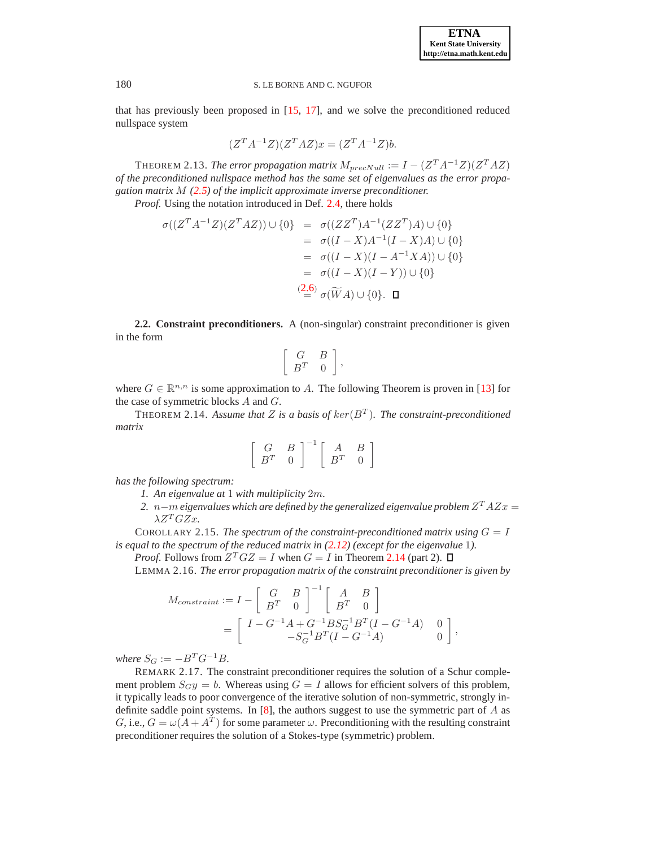that has previously been proposed in [\[15,](#page-15-3) [17\]](#page-15-4), and we solve the preconditioned reduced nullspace system

$$
(ZT A-1Z)(ZT A Z)x = (ZT A-1Z)b.
$$

THEOREM 2.13. *The error propagation matrix*  $M_{precNull} := I - (Z^T A^{-1} Z)(Z^T A Z)$ *of the preconditioned nullspace method has the same set of eigenvalues as the error propagation matrix* M *[\(2.5\)](#page-3-1) of the implicit approximate inverse preconditioner.*

*Proof.* Using the notation introduced in Def. [2.4,](#page-2-0) there holds

$$
\sigma((Z^T A^{-1}Z)(Z^T A Z)) \cup \{0\} = \sigma((ZZ^T)A^{-1}(ZZ^T)A) \cup \{0\}
$$
  
\n
$$
= \sigma((I - X)A^{-1}(I - X)A) \cup \{0\}
$$
  
\n
$$
= \sigma((I - X)(I - A^{-1}XA)) \cup \{0\}
$$
  
\n
$$
= \sigma((I - X)(I - Y)) \cup \{0\}
$$
  
\n
$$
\stackrel{(2.6)}{=} \sigma(\widetilde{W}A) \cup \{0\}. \quad \Box
$$

**2.2. Constraint preconditioners.** A (non-singular) constraint preconditioner is given in the form

$$
\left[\begin{array}{cc} G & B \\ B^T & 0 \end{array}\right],
$$

where  $G \in \mathbb{R}^{n,n}$  is some approximation to A. The following Theorem is proven in [\[13\]](#page-14-6) for the case of symmetric blocks  $A$  and  $G$ .

THEOREM 2.14. Assume that Z is a basis of  $\ker(B^T)$ . The constraint-preconditioned *matrix*

<span id="page-7-0"></span>
$$
\left[\begin{array}{cc}G&B\\B^T&0\end{array}\right]^{-1}\left[\begin{array}{cc}A&B\\B^T&0\end{array}\right]
$$

*has the following spectrum:*

- *1. An eigenvalue at* 1 *with multiplicity* 2m*.*
- $2.$   $n-m$  eigenvalues which are defined by the generalized eigenvalue problem  $Z^T A Z x = 0$  $\lambda Z^T G Z x$ .

COROLLARY 2.15. *The spectrum of the constraint-preconditioned matrix using*  $G = I$ *is equal to the spectrum of the reduced matrix in [\(2.12\)](#page-6-0) (except for the eigenvalue* 1*).*

*Proof.* Follows from  $Z^T G Z = I$  when  $G = I$  in Theorem [2.14](#page-7-0) (part 2).

LEMMA 2.16. *The error propagation matrix of the constraint preconditioner is given by*

$$
M_{constraint} := I - \begin{bmatrix} G & B \\ B^T & 0 \end{bmatrix}^{-1} \begin{bmatrix} A & B \\ B^T & 0 \end{bmatrix}
$$
  
= 
$$
\begin{bmatrix} I - G^{-1}A + G^{-1}BS_G^{-1}B^T(I - G^{-1}A) & 0 \\ -S_G^{-1}B^T(I - G^{-1}A) & 0 \end{bmatrix},
$$

*where*  $S_G := -B^T G^{-1} B$ .

REMARK 2.17. The constraint preconditioner requires the solution of a Schur complement problem  $S_{G}y = b$ . Whereas using  $G = I$  allows for efficient solvers of this problem, it typically leads to poor convergence of the iterative solution of non-symmetric, strongly indefinite saddle point systems. In  $[8]$ , the authors suggest to use the symmetric part of  $A$  as G, i.e.,  $G = \omega(A + A^T)$  for some parameter  $\omega$ . Preconditioning with the resulting constraint preconditioner requires the solution of a Stokes-type (symmetric) problem.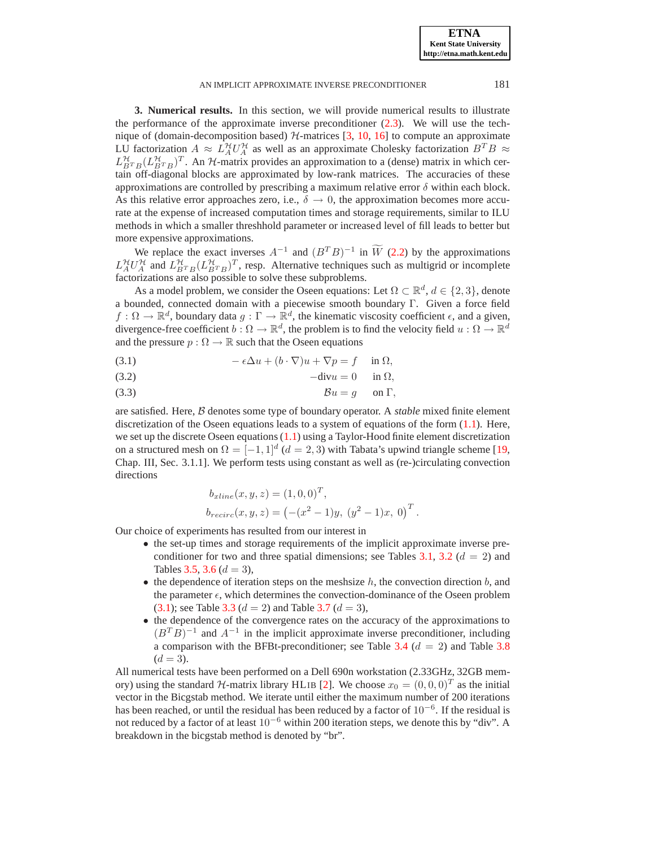**ETNA Kent State University http://etna.math.kent.edu**

#### AN IMPLICIT APPROXIMATE INVERSE PRECONDITIONER 181

<span id="page-8-0"></span>**3. Numerical results.** In this section, we will provide numerical results to illustrate the performance of the approximate inverse preconditioner [\(2.3\)](#page-1-2). We will use the technique of (domain-decomposition based)  $H$ -matrices [\[3,](#page-13-2) [10,](#page-14-9) [16\]](#page-15-5) to compute an approximate LU factorization  $A \approx L_A^{\mathcal{H}} U_A^{\mathcal{H}}$  as well as an approximate Cholesky factorization  $B^T B \approx$  $L_{BTB}^{\mathcal{H}}(L_{BTB}^{\mathcal{H}})^{T}$ . An  $\mathcal{H}$ -matrix provides an approximation to a (dense) matrix in which certain off-diagonal blocks are approximated by low-rank matrices. The accuracies of these approximations are controlled by prescribing a maximum relative error  $\delta$  within each block. As this relative error approaches zero, i.e.,  $\delta \rightarrow 0$ , the approximation becomes more accurate at the expense of increased computation times and storage requirements, similar to ILU methods in which a smaller threshhold parameter or increased level of fill leads to better but more expensive approximations.

We replace the exact inverses  $A^{-1}$  and  $(B^TB)^{-1}$  in  $\widetilde{W}$  [\(2.2\)](#page-1-1) by the approximations  $L_A^{\mathcal{H}} U_A^{\mathcal{H}}$  and  $L_{BTB}^{\mathcal{H}} (L_{BTB}^{\mathcal{H}})^T$ , resp. Alternative techniques such as multigrid or incomplete factorizations are also possible to solve these subproblems.

As a model problem, we consider the Oseen equations: Let  $\Omega \subset \mathbb{R}^d$ ,  $d \in \{2,3\}$ , denote a bounded, connected domain with a piecewise smooth boundary Γ. Given a force field  $f: \Omega \to \mathbb{R}^d$ , boundary data  $g: \Gamma \to \mathbb{R}^d$ , the kinematic viscosity coefficient  $\epsilon$ , and a given, divergence-free coefficient  $b: \Omega \to \mathbb{R}^d$ , the problem is to find the velocity field  $u: \Omega \to \mathbb{R}^d$ and the pressure  $p : \Omega \to \mathbb{R}$  such that the Oseen equations

<span id="page-8-1"></span>(3.1) 
$$
-\epsilon \Delta u + (b \cdot \nabla)u + \nabla p = f \quad \text{in } \Omega,
$$

$$
-\text{div}u = 0 \quad \text{in } \Omega,
$$

(3.3) Bu = g on Γ,

are satisfied. Here, B denotes some type of boundary operator. A *stable* mixed finite element discretization of the Oseen equations leads to a system of equations of the form [\(1.1\)](#page-0-0). Here, we set up the discrete Oseen equations [\(1.1\)](#page-0-0) using a Taylor-Hood finite element discretization on a structured mesh on  $\Omega = [-1, 1]^d$  ( $d = 2, 3$ ) with Tabata's upwind triangle scheme [\[19,](#page-15-6) Chap. III, Sec. 3.1.1]. We perform tests using constant as well as (re-)circulating convection directions

$$
b_{xline}(x, y, z) = (1, 0, 0)^{T},
$$
  
\n
$$
b_{recirc}(x, y, z) = (-(x^{2} - 1)y, (y^{2} - 1)x, 0)^{T}.
$$

Our choice of experiments has resulted from our interest in

- the set-up times and storage requirements of the implicit approximate inverse pre-conditioner for two and three spatial dimensions; see Tables [3.1,](#page-9-0) [3.2](#page-9-1) ( $d = 2$ ) and Tables [3.5,](#page-11-0) [3.6](#page-12-0) ( $d = 3$ ),
- $\bullet$  the dependence of iteration steps on the meshsize h, the convection direction b, and the parameter  $\epsilon$ , which determines the convection-dominance of the Oseen problem [\(3.1\)](#page-8-1); see Table [3.3](#page-10-0) ( $d = 2$ ) and Table [3.7](#page-12-1) ( $d = 3$ ),
- the dependence of the convergence rates on the accuracy of the approximations to  $(B<sup>T</sup>B)<sup>-1</sup>$  and  $A<sup>-1</sup>$  in the implicit approximate inverse preconditioner, including a comparison with the BFBt-preconditioner; see Table [3.4](#page-11-1) ( $d = 2$ ) and Table [3.8](#page-13-3)  $(d = 3)$ .

All numerical tests have been performed on a Dell 690n workstation (2.33GHz, 32GB memory) using the standard  $H$ -matrix library HLIB [\[2\]](#page-13-4). We choose  $x_0 = (0, 0, 0)^T$  as the initial vector in the Bicgstab method. We iterate until either the maximum number of 200 iterations has been reached, or until the residual has been reduced by a factor of  $10^{-6}$ . If the residual is not reduced by a factor of at least 10−<sup>6</sup> within 200 iteration steps, we denote this by "div". A breakdown in the bicgstab method is denoted by "br".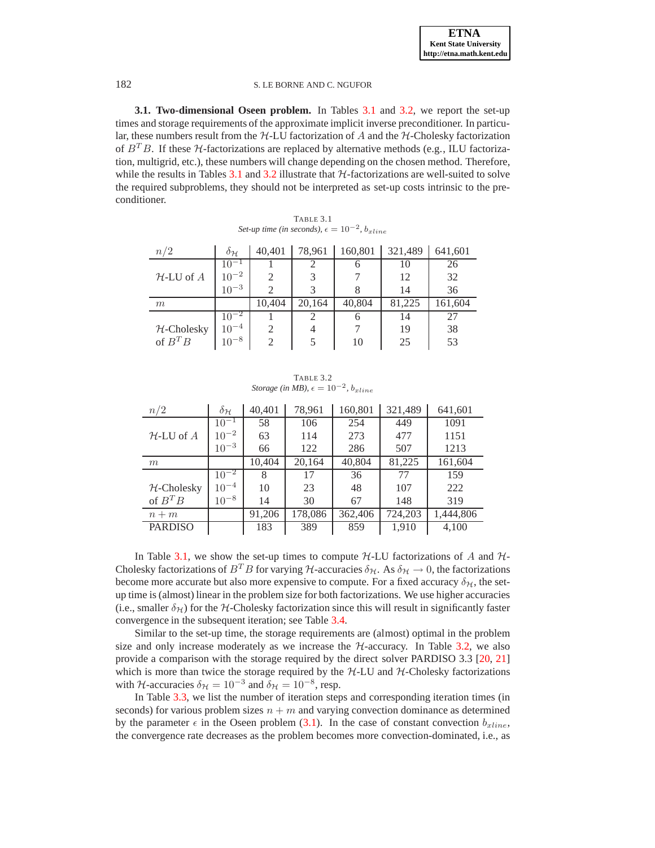**3.1. Two-dimensional Oseen problem.** In Tables [3.1](#page-9-0) and [3.2,](#page-9-1) we report the set-up times and storage requirements of the approximate implicit inverse preconditioner. In particular, these numbers result from the  $H$ -LU factorization of A and the  $H$ -Cholesky factorization of  $B<sup>T</sup>B$ . If these  $H$ -factorizations are replaced by alternative methods (e.g., ILU factorization, multigrid, etc.), these numbers will change depending on the chosen method. Therefore, while the results in Tables [3.1](#page-9-0) and [3.2](#page-9-1) illustrate that  $H$ -factorizations are well-suited to solve the required subproblems, they should not be interpreted as set-up costs intrinsic to the preconditioner.

| TABLE 3.1                                                    |  |
|--------------------------------------------------------------|--|
| Set-up time (in seconds), $\epsilon = 10^{-2}$ , $b_{xline}$ |  |

<span id="page-9-0"></span>

| n/2            | $\delta_{\mathcal{H}}$ | 40,401         | 78,961 | 160,801 | 321,489 | 641,601 |
|----------------|------------------------|----------------|--------|---------|---------|---------|
|                | $10^{-1}$              |                |        | n       | 10      | 26      |
| $H$ -LU of $A$ | $10^{-2}$              | $\mathfrak{D}$ |        |         | 12      | 32      |
|                | $10^{-3}$              |                |        | 8       | 14      | 36      |
| m              |                        | 10,404         | 20,164 | 40,804  | 81,225  | 161,604 |
|                | $10^{-2}$              |                |        | O       | 14      | 27      |
| $H$ -Cholesky  | $10^{-4}$              |                |        |         | 19      | 38      |
| of $B^T B$     | $10^{-8}$              |                |        | 10      | 25      | 53      |

TABLE 3.2 *Storage (in MB),*  $\epsilon = 10^{-2}$ ,  $b_{xline}$ 

<span id="page-9-1"></span>

| n/2            | $\delta_{\mathcal{H}}$ | 40,401 | 78,961  | 160,801 | 321,489 | 641,601   |
|----------------|------------------------|--------|---------|---------|---------|-----------|
|                | $10^{-1}$              | 58     | 106     | 254     | 449     | 1091      |
| $H$ -LU of $A$ | $10^{-2}$              | 63     | 114     | 273     | 477     | 1151      |
|                | $10^{-3}$              | 66     | 122     | 286     | 507     | 1213      |
| m              |                        | 10,404 | 20,164  | 40,804  | 81,225  | 161,604   |
|                | $10^{-2}$              | 8      | 17      | 36      | 77      | 159       |
| $H$ -Cholesky  | $10^{-4}$              | 10     | 23      | 48      | 107     | 222       |
| of $B^T B$     | $10^{-8}$              | 14     | 30      | 67      | 148     | 319       |
| $n+m$          |                        | 91,206 | 178,086 | 362,406 | 724,203 | 1,444,806 |
| <b>PARDISO</b> |                        | 183    | 389     | 859     | 1,910   | 4,100     |

In Table [3.1,](#page-9-0) we show the set-up times to compute  $H$ -LU factorizations of A and  $H$ -Cholesky factorizations of  $B^T B$  for varying  $H$ -accuracies  $\delta_H$ . As  $\delta_H \to 0$ , the factorizations become more accurate but also more expensive to compute. For a fixed accuracy  $\delta_{\mathcal{H}}$ , the setup time is (almost) linear in the problem size for both factorizations. We use higher accuracies (i.e., smaller  $\delta_H$ ) for the H-Cholesky factorization since this will result in significantly faster convergence in the subsequent iteration; see Table [3.4.](#page-11-1)

Similar to the set-up time, the storage requirements are (almost) optimal in the problem size and only increase moderately as we increase the  $H$ -accuracy. In Table [3.2,](#page-9-1) we also provide a comparison with the storage required by the direct solver PARDISO 3.3 [\[20,](#page-15-1) [21\]](#page-15-2) which is more than twice the storage required by the  $H$ -LU and  $H$ -Cholesky factorizations with H-accuracies  $\delta_{\mathcal{H}} = 10^{-3}$  and  $\delta_{\mathcal{H}} = 10^{-8}$ , resp.

In Table [3.3,](#page-10-0) we list the number of iteration steps and corresponding iteration times (in seconds) for various problem sizes  $n + m$  and varying convection dominance as determined by the parameter  $\epsilon$  in the Oseen problem [\(3.1\)](#page-8-1). In the case of constant convection  $b_{xline}$ , the convergence rate decreases as the problem becomes more convection-dominated, i.e., as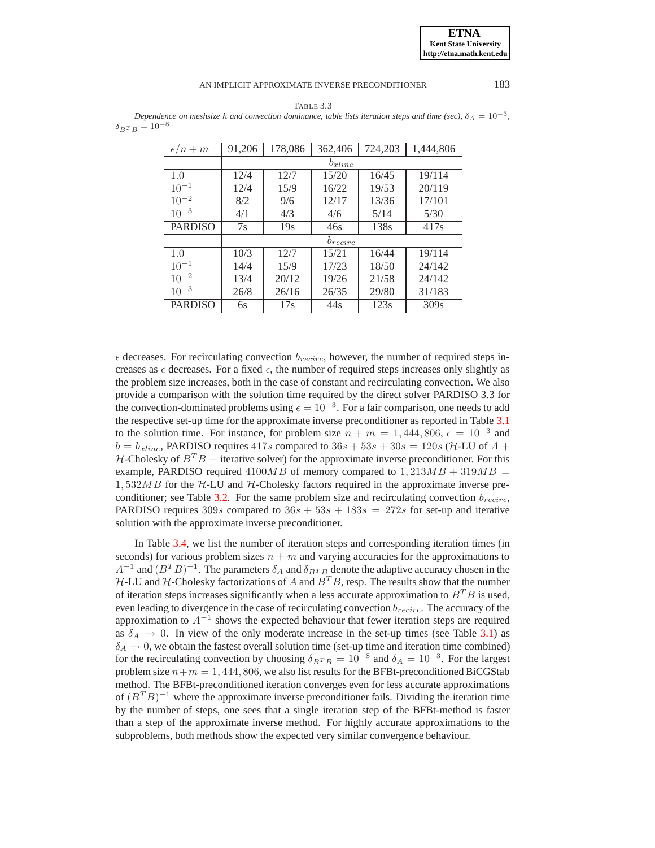#### **ETNA Kent State University http://etna.math.kent.edu**

#### AN IMPLICIT APPROXIMATE INVERSE PRECONDITIONER 183

TABLE 3.3

<span id="page-10-0"></span>*Dependence on meshsize h and convection dominance, table lists iteration steps and time (sec),*  $\delta_A = 10^{-3}$ ,  $\delta_{BT B} = 10^{-8}$ 

| $\epsilon/n+m$ | 91,206      | 178,086 | 362,406      | 724,203 | 1,444,806 |  |  |  |  |  |
|----------------|-------------|---------|--------------|---------|-----------|--|--|--|--|--|
|                | $b_{xline}$ |         |              |         |           |  |  |  |  |  |
| 1.0            | 12/4        | 12/7    | 15/20        | 16/45   | 19/114    |  |  |  |  |  |
| $10^{-1}$      | 12/4        | 15/9    | 16/22        | 19/53   | 20/119    |  |  |  |  |  |
| $10^{-2}$      | 8/2         | 9/6     | 12/17        | 13/36   | 17/101    |  |  |  |  |  |
| $10^{-3}$      | 4/1         | 4/3     | 4/6          | 5/14    | 5/30      |  |  |  |  |  |
| <b>PARDISO</b> | 7s          | 19s     | 46s          | 138s    | 417s      |  |  |  |  |  |
|                |             |         | $b_{recirc}$ |         |           |  |  |  |  |  |
| 1.0            | 10/3        | 12/7    | 15/21        | 16/44   | 19/114    |  |  |  |  |  |
| $10^{-1}$      | 14/4        | 15/9    | 17/23        | 18/50   | 24/142    |  |  |  |  |  |
| $10^{-2}$      | 13/4        | 20/12   | 19/26        | 21/58   | 24/142    |  |  |  |  |  |
| $10^{-3}$      | 26/8        | 26/16   | 26/35        | 29/80   | 31/183    |  |  |  |  |  |
| <b>PARDISO</b> | 6s          | 17s     | 44s          | 123s    | 309s      |  |  |  |  |  |

 $\epsilon$  decreases. For recirculating convection  $b_{recirc}$ , however, the number of required steps increases as  $\epsilon$  decreases. For a fixed  $\epsilon$ , the number of required steps increases only slightly as the problem size increases, both in the case of constant and recirculating convection. We also provide a comparison with the solution time required by the direct solver PARDISO 3.3 for the convection-dominated problems using  $\epsilon = 10^{-3}$ . For a fair comparison, one needs to add the respective set-up time for the approximate inverse preconditioner as reported in Table [3.1](#page-9-0) to the solution time. For instance, for problem size  $n + m = 1,444,806, \epsilon = 10^{-3}$  and  $b = b_{xline}$ , PARDISO requires 417s compared to  $36s + 53s + 30s = 120s$  (*H*-LU of *A* +  $H$ -Cholesky of  $B^T B$  + iterative solver) for the approximate inverse preconditioner. For this example, PARDISO required  $4100MB$  of memory compared to  $1,213MB + 319MB =$  $1,532MB$  for the H-LU and H-Cholesky factors required in the approximate inverse pre-conditioner; see Table [3.2.](#page-9-1) For the same problem size and recirculating convection  $b_{recirc}$ , PARDISO requires 309s compared to  $36s + 53s + 183s = 272s$  for set-up and iterative solution with the approximate inverse preconditioner.

In Table [3.4,](#page-11-1) we list the number of iteration steps and corresponding iteration times (in seconds) for various problem sizes  $n + m$  and varying accuracies for the approximations to  $A^{-1}$  and  $(B^TB)^{-1}$ . The parameters  $\delta_A$  and  $\delta_{BTB}$  denote the adaptive accuracy chosen in the  $H$ -LU and  $H$ -Cholesky factorizations of A and  $B<sup>T</sup>B$ , resp. The results show that the number of iteration steps increases significantly when a less accurate approximation to  $B^T B$  is used, even leading to divergence in the case of recirculating convection  $b_{recirc}$ . The accuracy of the approximation to  $A^{-1}$  shows the expected behaviour that fewer iteration steps are required as  $\delta_A \rightarrow 0$ . In view of the only moderate increase in the set-up times (see Table [3.1\)](#page-9-0) as  $\delta_A \rightarrow 0$ , we obtain the fastest overall solution time (set-up time and iteration time combined) for the recirculating convection by choosing  $\delta_{B^TB} = 10^{-8}$  and  $\delta_A = 10^{-3}$ . For the largest problem size  $n+m = 1,444,806$ , we also list results for the BFBt-preconditioned BiCGStab method. The BFBt-preconditioned iteration converges even for less accurate approximations of  $(B^T B)^{-1}$  where the approximate inverse preconditioner fails. Dividing the iteration time by the number of steps, one sees that a single iteration step of the BFBt-method is faster than a step of the approximate inverse method. For highly accurate approximations to the subproblems, both methods show the expected very similar convergence behaviour.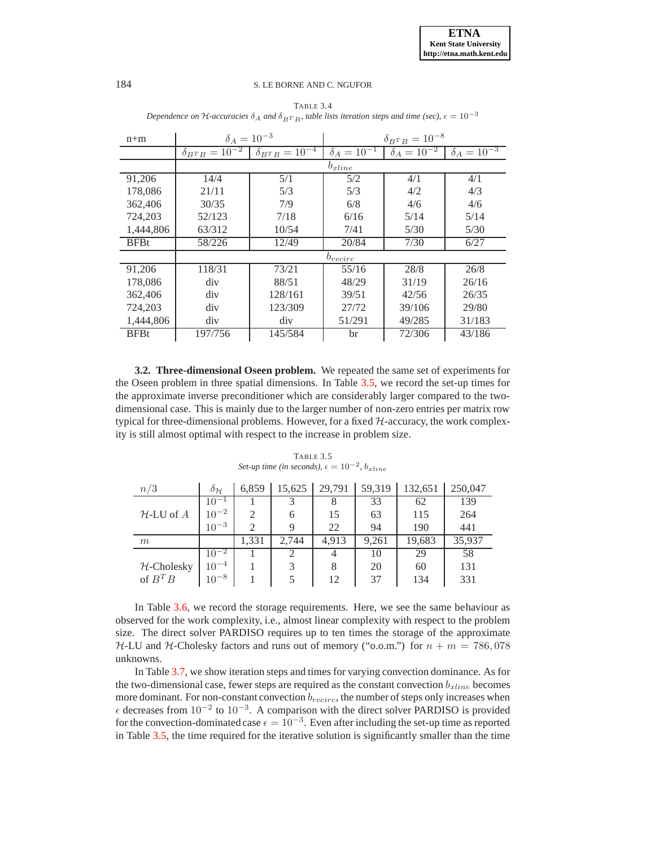<span id="page-11-1"></span>

| $n+m$       | $\delta_A = 10^{-3}$        |                                      | $\delta_{B^{T}B} = 10^{-8}$ |                      |                        |  |  |
|-------------|-----------------------------|--------------------------------------|-----------------------------|----------------------|------------------------|--|--|
|             | $\delta_{B^{T}B} = 10^{-2}$ | $\delta_{B^{T}B}=1\overline{0^{-4}}$ | $\delta_A = 10^{-1}$        | $\delta_A = 10^{-2}$ | $\delta_{A} = 10^{-3}$ |  |  |
|             |                             |                                      | $b_{xline}$                 |                      |                        |  |  |
| 91,206      | 14/4                        | 5/1                                  | 5/2                         | 4/1                  | 4/1                    |  |  |
| 178,086     | 21/11                       | 5/3                                  | 5/3                         | 4/2                  | 4/3                    |  |  |
| 362,406     | 30/35                       | 7/9                                  | 6/8                         | 4/6                  | 4/6                    |  |  |
| 724,203     | 52/123                      | 7/18                                 | 6/16                        | 5/14                 | 5/14                   |  |  |
| 1,444,806   | 63/312                      | 10/54                                | 7/41                        | 5/30                 | 5/30                   |  |  |
| <b>BFBt</b> | 58/226                      | 12/49                                | 20/84                       | 7/30                 | 6/27                   |  |  |
|             |                             |                                      | $b_{recirc}$                |                      |                        |  |  |
| 91,206      | 118/31                      | 73/21                                | 55/16                       | 28/8                 | 26/8                   |  |  |
| 178,086     | div                         | 88/51                                | 48/29                       | 31/19                | 26/16                  |  |  |
| 362,406     | div                         | 128/161                              | 39/51                       | 42/56                | 26/35                  |  |  |
| 724,203     | div                         | 123/309                              | 27/72                       | 39/106               | 29/80                  |  |  |
| 1,444,806   | div                         | div                                  | 51/291                      | 49/285               | 31/183                 |  |  |
| <b>BFBt</b> | 197/756                     | 145/584                              | br                          | 72/306               | 43/186                 |  |  |

TABLE 3.4 *Dependence on*  $H$ -accuracies  $\delta_A$  and  $\delta_{BTB}$ , table lists iteration steps and time (sec),  $\epsilon = 10^{-3}$ 

**3.2. Three-dimensional Oseen problem.** We repeated the same set of experiments for the Oseen problem in three spatial dimensions. In Table [3.5,](#page-11-0) we record the set-up times for the approximate inverse preconditioner which are considerably larger compared to the twodimensional case. This is mainly due to the larger number of non-zero entries per matrix row typical for three-dimensional problems. However, for a fixed  $H$ -accuracy, the work complexity is still almost optimal with respect to the increase in problem size.

<span id="page-11-0"></span>

| n/3           | $\partial_{\mathcal{H}}$ | 6,859 | 15,625      | 29,791 | 59,319 | 132,651 | 250,047 |
|---------------|--------------------------|-------|-------------|--------|--------|---------|---------|
|               | $10^{-1}$                |       |             | 8      | 33     | 62      | 139     |
| $H-LU$ of $A$ | $10^{-2}$                | 2     | 6           | 15     | 63     | 115     | 264     |
|               | $10^{-3}$                | 2     | $\mathbf Q$ | 22     | 94     | 190     | 441     |
|               |                          |       |             |        |        |         |         |
| m             |                          | 1.331 | 2.744       | 4.913  | 9,261  | 19,683  | 35,937  |
|               | $10^{-2}$                |       |             | 4      | 10     | 29      | 58      |
| $H$ -Cholesky | $10^{-4}$                |       |             | 8      | 20     | 60      | 131     |
| of $B^T B$    | $10^{-8}$                |       |             | 12     | 37     | 134     | 331     |

TABLE 3.5  $Set-up$  time (in seconds),  $\epsilon = 10^{-2}$ ,  $b_{xline}$ 

In Table [3.6,](#page-12-0) we record the storage requirements. Here, we see the same behaviour as observed for the work complexity, i.e., almost linear complexity with respect to the problem size. The direct solver PARDISO requires up to ten times the storage of the approximate  $H-LU$  and H-Cholesky factors and runs out of memory ("o.o.m.") for  $n + m = 786,078$ unknowns.

In Table [3.7,](#page-12-1) we show iteration steps and times for varying convection dominance. As for the two-dimensional case, fewer steps are required as the constant convection  $b_{xline}$  becomes more dominant. For non-constant convection  $b_{recirc}$ , the number of steps only increases when  $\epsilon$  decreases from 10<sup>-2</sup> to 10<sup>-3</sup>. A comparison with the direct solver PARDISO is provided for the convection-dominated case  $\epsilon = 10^{-3}$ . Even after including the set-up time as reported in Table [3.5,](#page-11-0) the time required for the iterative solution is significantly smaller than the time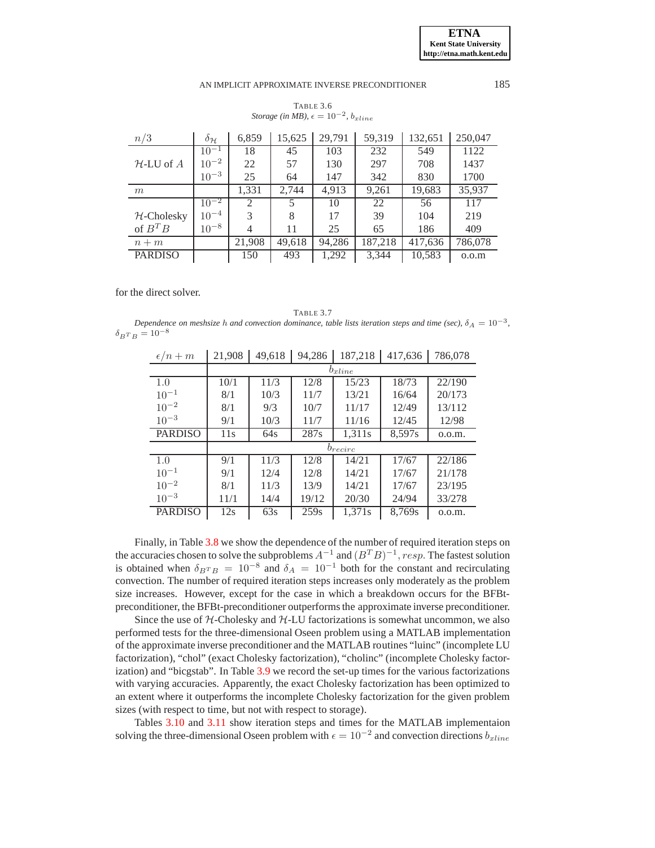### <span id="page-12-0"></span>AN IMPLICIT APPROXIMATE INVERSE PRECONDITIONER 185

| TABLE 3.6                                           |  |
|-----------------------------------------------------|--|
| Storage (in MB), $\epsilon = 10^{-2}$ , $b_{xline}$ |  |

| n/3            | $\delta_{\mathcal{H}}$ | 6,859          | 15,625 | 29,791 | 59,319  | 132,651 | 250,047 |
|----------------|------------------------|----------------|--------|--------|---------|---------|---------|
|                | $10^{-1}$              | 18             | 45     | 103    | 232     | 549     | 1122    |
| $H-LU$ of $A$  | $10^{-2}$              | 22             | 57     | 130    | 297     | 708     | 1437    |
|                | $10^{-3}$              | 25             | 64     | 147    | 342     | 830     | 1700    |
| m              |                        | 1,331          | 2,744  | 4,913  | 9,261   | 19,683  | 35,937  |
|                | $10^{-2}$              | $\overline{2}$ |        | 10     | 22      | 56      | 117     |
| $H$ -Cholesky  | $10^{-4}$              | 3              | 8      | 17     | 39      | 104     | 219     |
| of $B^T B$     | $10^{-8}$              | 4              | 11     | 25     | 65      | 186     | 409     |
| $n+m$          |                        | 21,908         | 49.618 | 94,286 | 187,218 | 417,636 | 786,078 |
| <b>PARDISO</b> |                        | 150            | 493    | 1,292  | 3,344   | 10,583  | 0.0.m   |

for the direct solver.

<span id="page-12-1"></span>TABLE 3.7 *Dependence on meshsize* h and convection dominance, table lists iteration steps and time (sec),  $\delta_A = 10^{-3}$ ,  $\delta_{B^{T}B} = 10^{-8}$ 

| $\epsilon/n+m$ | 21,908 | 49,618      | 94,286 | 187,218      | 417,636 | 786,078 |  |  |  |  |  |
|----------------|--------|-------------|--------|--------------|---------|---------|--|--|--|--|--|
|                |        | $b_{xline}$ |        |              |         |         |  |  |  |  |  |
| 1.0            | 10/1   | 11/3        | 12/8   | 15/23        | 18/73   | 22/190  |  |  |  |  |  |
| $10^{-1}$      | 8/1    | 10/3        | 11/7   | 13/21        | 16/64   | 20/173  |  |  |  |  |  |
| $10^{-2}$      | 8/1    | 9/3         | 10/7   | 11/17        | 12/49   | 13/112  |  |  |  |  |  |
| $10^{-3}$      | 9/1    | 10/3        | 11/7   | 11/16        | 12/45   | 12/98   |  |  |  |  |  |
| <b>PARDISO</b> | 11s    | 64s         | 287s   | 1,311s       | 8,597s  | 0.0.m.  |  |  |  |  |  |
|                |        |             |        | $b_{recirc}$ |         |         |  |  |  |  |  |
| 1.0            | 9/1    | 11/3        | 12/8   | 14/21        | 17/67   | 22/186  |  |  |  |  |  |
| $10^{-1}$      | 9/1    | 12/4        | 12/8   | 14/21        | 17/67   | 21/178  |  |  |  |  |  |
| $10^{-2}$      | 8/1    | 11/3        | 13/9   | 14/21        | 17/67   | 23/195  |  |  |  |  |  |
| $10^{-3}$      | 11/1   | 14/4        | 19/12  | 20/30        | 24/94   | 33/278  |  |  |  |  |  |
| <b>PARDISO</b> | 12s    | 63s         | 259s   | 1,371s       | 8,769s  | 0.0.m.  |  |  |  |  |  |

Finally, in Table [3.8](#page-13-3) we show the dependence of the number of required iteration steps on the accuracies chosen to solve the subproblems  $A^{-1}$  and  $(B^T B)^{-1}$ , resp. The fastest solution is obtained when  $\delta_{B}T_{B} = 10^{-8}$  and  $\delta_{A} = 10^{-1}$  both for the constant and recirculating convection. The number of required iteration steps increases only moderately as the problem size increases. However, except for the case in which a breakdown occurs for the BFBtpreconditioner, the BFBt-preconditioner outperforms the approximate inverse preconditioner.

Since the use of  $H$ -Cholesky and  $H$ -LU factorizations is somewhat uncommon, we also performed tests for the three-dimensional Oseen problem using a MATLAB implementation of the approximate inverse preconditioner and the MATLAB routines "luinc" (incomplete LU factorization), "chol" (exact Cholesky factorization), "cholinc" (incomplete Cholesky factorization) and "bicgstab". In Table [3.9](#page-13-5) we record the set-up times for the various factorizations with varying accuracies. Apparently, the exact Cholesky factorization has been optimized to an extent where it outperforms the incomplete Cholesky factorization for the given problem sizes (with respect to time, but not with respect to storage).

Tables [3.10](#page-14-10) and [3.11](#page-14-11) show iteration steps and times for the MATLAB implementaion solving the three-dimensional Oseen problem with  $\epsilon = 10^{-2}$  and convection directions  $b_{xline}$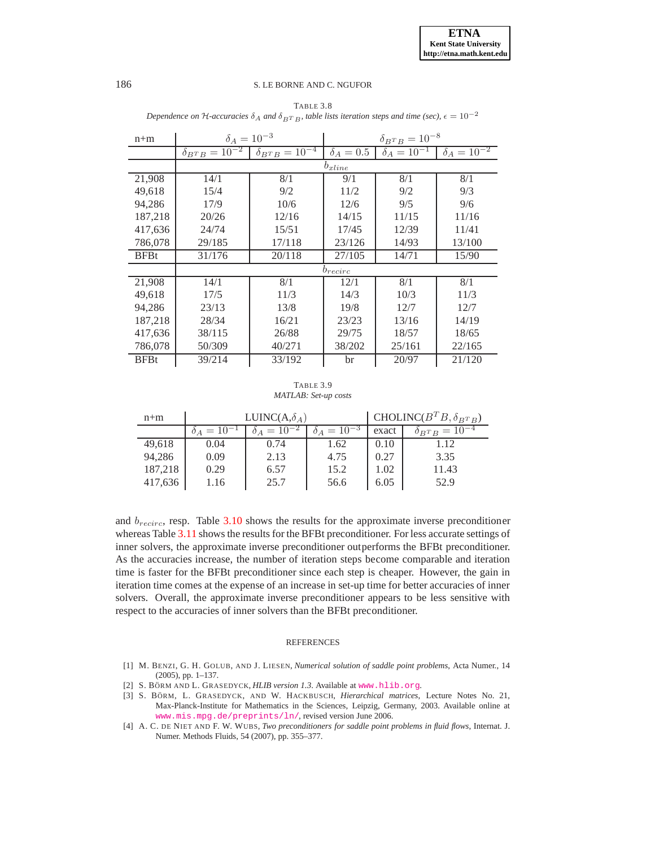<span id="page-13-3"></span>

| $n+m$       |                                      | $\delta_A = 10^{-3}$<br>$\delta_{B^{T}B} = 10^{-8}$ |                |                      |                      |  |  |
|-------------|--------------------------------------|-----------------------------------------------------|----------------|----------------------|----------------------|--|--|
|             | $\delta_{B^{T}B}=1\overline{0^{-2}}$ | $\delta_{B^{T}B} = 10^{-4}$                         | $\delta_A=0.5$ | $\delta_A = 10^{-1}$ | $\delta_A = 10^{-2}$ |  |  |
|             |                                      |                                                     | $b_{xline}$    |                      |                      |  |  |
| 21,908      | 14/1                                 | 8/1                                                 | 9/1            | 8/1                  | 8/1                  |  |  |
| 49,618      | 15/4                                 | 9/2                                                 | 11/2           | 9/2                  | 9/3                  |  |  |
| 94,286      | 17/9                                 | 10/6                                                | 12/6           | 9/5                  | 9/6                  |  |  |
| 187,218     | 20/26                                | 12/16                                               | 14/15          | 11/15                | 11/16                |  |  |
| 417,636     | 24/74                                | 15/51                                               | 17/45          | 12/39                | 11/41                |  |  |
| 786,078     | 29/185                               | 17/118                                              | 23/126         | 14/93                | 13/100               |  |  |
| <b>BFBt</b> | 31/176                               | 20/118                                              | 27/105         | 14/71                | 15/90                |  |  |
|             |                                      |                                                     | $b_{recirc}$   |                      |                      |  |  |
| 21,908      | 14/1                                 | 8/1                                                 | 12/1           | 8/1                  | 8/1                  |  |  |
| 49,618      | 17/5                                 | 11/3                                                | 14/3           | 10/3                 | 11/3                 |  |  |
| 94,286      | 23/13                                | 13/8                                                | 19/8           | 12/7                 | 12/7                 |  |  |
| 187,218     | 28/34                                | 16/21                                               | 23/23          | 13/16                | 14/19                |  |  |
| 417,636     | 38/115                               | 26/88                                               | 29/75          | 18/57                | 18/65                |  |  |
| 786,078     | 50/309                               | 40/271                                              | 38/202         | 25/161               | 22/165               |  |  |
| <b>BFBt</b> | 39/214                               | 33/192                                              | br             | 20/97                | 21/120               |  |  |

TABLE 3.8 *Dependence on*  $H$ -accuracies  $\delta_A$  and  $\delta_{BT}$  B, table lists iteration steps and time (sec),  $\epsilon = 10^{-2}$ 

TABLE 3.9 *MATLAB: Set-up costs*

<span id="page-13-5"></span>

| $n+m$   |                      | LUINC( $A, \delta_A$ ) |                      | CHOLINC( $B^T B$ , $\delta_{B^T B}$ ) |                             |
|---------|----------------------|------------------------|----------------------|---------------------------------------|-----------------------------|
|         | $\delta_A = 10^{-1}$ | $\delta_A = 10^{-2}$   | $\delta_A = 10^{-3}$ | exact                                 | $\delta_{B^{T}B} = 10^{-4}$ |
| 49,618  | 0.04                 | 0.74                   | 1.62                 | 0.10                                  | 1.12                        |
| 94,286  | 0.09                 | 2.13                   | 4.75                 | 0.27                                  | 3.35                        |
| 187,218 | 0.29                 | 6.57                   | 15.2                 | 1.02                                  | 11.43                       |
| 417,636 | 1.16                 | 25.7                   | 56.6                 | 6.05                                  | 52.9                        |

and  $b_{receiver}$ , resp. Table [3.10](#page-14-10) shows the results for the approximate inverse preconditioner whereas Table [3.11](#page-14-11) shows the results for the BFBt preconditioner. For less accurate settings of inner solvers, the approximate inverse preconditioner outperforms the BFBt preconditioner. As the accuracies increase, the number of iteration steps become comparable and iteration time is faster for the BFBt preconditioner since each step is cheaper. However, the gain in iteration time comes at the expense of an increase in set-up time for better accuracies of inner solvers. Overall, the approximate inverse preconditioner appears to be less sensitive with respect to the accuracies of inner solvers than the BFBt preconditioner.

#### **REFERENCES**

- <span id="page-13-0"></span>[1] M. BENZI, G. H. GOLUB, AND J. LIESEN, *Numerical solution of saddle point problems*, Acta Numer., 14 (2005), pp. 1–137.
- <span id="page-13-4"></span><span id="page-13-2"></span>[2] S. BÖRM AND L. GRASEDYCK, *HLIB version 1.3*. Available at <www.hlib.org>.
- [3] S. BÖRM, L. GRASEDYCK, AND W. HACKBUSCH, *Hierarchical matrices*, Lecture Notes No. 21, Max-Planck-Institute for Mathematics in the Sciences, Leipzig, Germany, 2003. Available online at <www.mis.mpg.de/preprints/ln/>, revised version June 2006.
- <span id="page-13-1"></span>[4] A. C. DE NIET AND F. W. WUBS, *Two preconditioners for saddle point problems in fluid flows*, Internat. J. Numer. Methods Fluids, 54 (2007), pp. 355–377.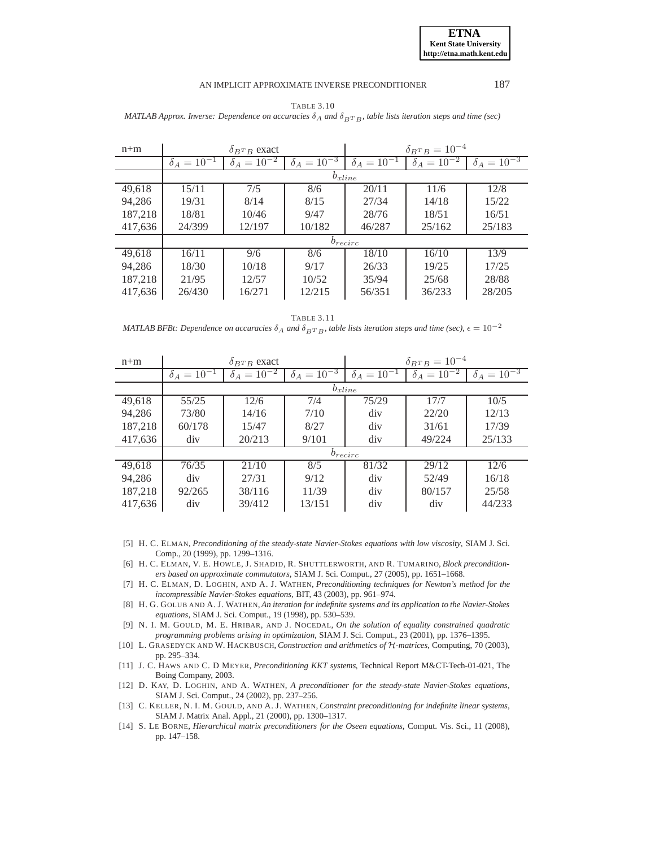**ETNA Kent State University http://etna.math.kent.edu**

#### AN IMPLICIT APPROXIMATE INVERSE PRECONDITIONER 187

|  | <b>TABLE 3.10</b>                                                                                                           |  |  |
|--|-----------------------------------------------------------------------------------------------------------------------------|--|--|
|  | MATLAB Approx. Inverse: Dependence on accuracies $\delta_A$ and $\delta_{BTR}$ , table lists iteration steps and time (sec) |  |  |

<span id="page-14-10"></span>

| $n+m$   | $\delta_{BTB}$ exact |                      |                      | $\delta_{B^{T}B} = 10^{-4}$ |                      |                      |  |  |  |
|---------|----------------------|----------------------|----------------------|-----------------------------|----------------------|----------------------|--|--|--|
|         | $\delta_A = 10^{-1}$ | $\delta_A = 10^{-2}$ | $\delta_A = 10^{-3}$ | $\delta_A = 10^{-1}$        | $\delta_A = 10^{-2}$ | $\delta_A = 10^{-3}$ |  |  |  |
|         | $b_{xline}$          |                      |                      |                             |                      |                      |  |  |  |
| 49,618  | 15/11                | 7/5                  | 8/6                  | 20/11                       | 11/6                 | 12/8                 |  |  |  |
| 94,286  | 19/31                | 8/14                 | 8/15                 | 27/34                       | 14/18                | 15/22                |  |  |  |
| 187,218 | 18/81                | 10/46                | 9/47                 | 28/76                       | 18/51                | 16/51                |  |  |  |
| 417,636 | 24/399               | 12/197               | 10/182               | 46/287                      | 25/162               | 25/183               |  |  |  |
|         | $b_{recirc}$         |                      |                      |                             |                      |                      |  |  |  |
| 49,618  | 16/11                | 9/6                  | 8/6                  | 18/10                       | 16/10                | 13/9                 |  |  |  |
| 94.286  | 18/30                | 10/18                | 9/17                 | 26/33                       | 19/25                | 17/25                |  |  |  |
| 187,218 | 21/95                | 12/57                | 10/52                | 35/94                       | 25/68                | 28/88                |  |  |  |
| 417,636 | 26/430               | 16/271               | 12/215               | 56/351                      | 36/233               | 28/205               |  |  |  |

TABLE 3.11

*MATLAB BFBt: Dependence on accuracies*  $\delta_A$  *and*  $\delta_{BT}$  *B, table lists iteration steps and time (sec),*  $\epsilon = 10^{-2}$ 

<span id="page-14-11"></span>

| $n+m$   | $\delta_{B^{T}B}$ exact |                      |                                 | $\delta_{B^{T}B} = 10^{-4}$ |                                 |                                 |  |  |
|---------|-------------------------|----------------------|---------------------------------|-----------------------------|---------------------------------|---------------------------------|--|--|
|         | $\delta_A = 10^{-1}$    | $\delta_A = 10^{-2}$ | $\delta_A = \overline{10^{-3}}$ | $\delta_A = 10^{-1}$        | $\delta_A = \overline{10^{-2}}$ | $\delta_A = \overline{10^{-3}}$ |  |  |
|         | $b_{xline}$             |                      |                                 |                             |                                 |                                 |  |  |
| 49,618  | 55/25                   | 12/6                 | 7/4                             | 75/29                       | 17/7                            | 10/5                            |  |  |
| 94,286  | 73/80                   | 14/16                | 7/10                            | div                         | 22/20                           | 12/13                           |  |  |
| 187,218 | 60/178                  | 15/47                | 8/27                            | div                         | 31/61                           | 17/39                           |  |  |
| 417,636 | div                     | 20/213               | 9/101                           | div                         | 49/224                          | 25/133                          |  |  |
|         | $b_{recirc}$            |                      |                                 |                             |                                 |                                 |  |  |
| 49,618  | 76/35                   | 21/10                | 8/5                             | 81/32                       | 29/12                           | 12/6                            |  |  |
| 94,286  | div                     | 27/31                | 9/12                            | div                         | 52/49                           | 16/18                           |  |  |
| 187,218 | 92/265                  | 38/116               | 11/39                           | div                         | 80/157                          | 25/58                           |  |  |
| 417,636 | div                     | 39/412               | 13/151                          | div                         | div                             | 44/233                          |  |  |

<span id="page-14-0"></span>[5] H. C. ELMAN, *Preconditioning of the steady-state Navier-Stokes equations with low viscosity*, SIAM J. Sci. Comp., 20 (1999), pp. 1299–1316.

<span id="page-14-1"></span>[6] H. C. ELMAN, V. E. HOWLE, J. SHADID, R. SHUTTLERWORTH, AND R. TUMARINO, *Block preconditioners based on approximate commutators*, SIAM J. Sci. Comput., 27 (2005), pp. 1651–1668.

- <span id="page-14-7"></span>[7] H. C. ELMAN, D. LOGHIN, AND A. J. WATHEN, *Preconditioning techniques for Newton's method for the incompressible Navier-Stokes equations*, BIT, 43 (2003), pp. 961–974.
- <span id="page-14-8"></span>[8] H. G. GOLUB AND A. J. WATHEN, *An iteration for indefinite systems and its application to the Navier-Stokes equations*, SIAM J. Sci. Comput., 19 (1998), pp. 530–539.
- <span id="page-14-4"></span>[9] N. I. M. GOULD, M. E. HRIBAR, AND J. NOCEDAL, *On the solution of equality constrained quadratic programming problems arising in optimization*, SIAM J. Sci. Comput., 23 (2001), pp. 1376–1395.
- <span id="page-14-9"></span><span id="page-14-5"></span>[10] L. GRASEDYCK AND W. HACKBUSCH, *Construction and arithmetics of* H*-matrices*, Computing, 70 (2003), pp. 295–334.
- [11] J. C. HAWS AND C. D MEYER, *Preconditioning KKT systems*, Technical Report M&CT-Tech-01-021, The Boing Company, 2003.
- <span id="page-14-2"></span>[12] D. KAY, D. LOGHIN, AND A. WATHEN, *A preconditioner for the steady-state Navier-Stokes equations*, SIAM J. Sci. Comput., 24 (2002), pp. 237–256.
- <span id="page-14-6"></span>[13] C. KELLER, N. I. M. GOULD, AND A. J. WATHEN, *Constraint preconditioning for indefinite linear systems*, SIAM J. Matrix Anal. Appl., 21 (2000), pp. 1300–1317.
- <span id="page-14-3"></span>[14] S. LE BORNE, *Hierarchical matrix preconditioners for the Oseen equations*, Comput. Vis. Sci., 11 (2008), pp. 147–158.